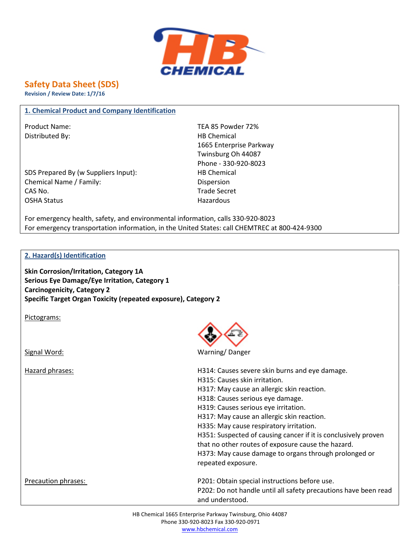

## **Safety Data Sheet (SDS)**

**Revision / Review Date: 1/7/16**

## **1. Chemical Product and Company Identification**

Distributed By: Notice and the Material HB Chemical HB Chemical

SDS Prepared By (w Suppliers Input): HB Chemical Chemical Name / Family: Dispersion CAS No. Trade Secret OSHA Status **Hazardous** Hazardous

Product Name: TEA 85 Powder 72% 1665 Enterprise Parkway Twinsburg Oh 44087 Phone - 330-920-8023

For emergency health, safety, and environmental information, calls 330-920-8023 For emergency transportation information, in the United States: call CHEMTREC at 800-424-9300

## **2. Hazard(s) Identification**

**Skin Corrosion/Irritation, Category 1A Serious Eye Damage/Eye Irritation, Category 1 Carcinogenicity, Category 2 Specific Target Organ Toxicity (repeated exposure), Category 2**

Pictograms:

Signal Word: Warning/ Danger

| Hazard phrases:     | H314: Causes severe skin burns and eye damage.                  |
|---------------------|-----------------------------------------------------------------|
|                     | H315: Causes skin irritation.                                   |
|                     | H317: May cause an allergic skin reaction.                      |
|                     | H318: Causes serious eye damage.                                |
|                     | H319: Causes serious eye irritation.                            |
|                     | H317: May cause an allergic skin reaction.                      |
|                     | H335: May cause respiratory irritation.                         |
|                     | H351: Suspected of causing cancer if it is conclusively proven  |
|                     | that no other routes of exposure cause the hazard.              |
|                     | H373: May cause damage to organs through prolonged or           |
|                     | repeated exposure.                                              |
| Precaution phrases: | P201: Obtain special instructions before use.                   |
|                     | P202: Do not handle until all safety precautions have been read |
|                     | and understood.                                                 |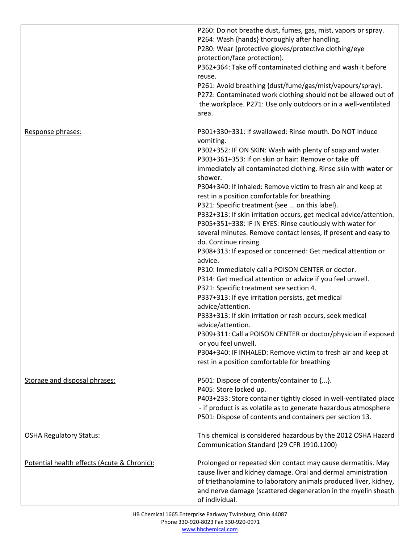|                                             | P260: Do not breathe dust, fumes, gas, mist, vapors or spray.<br>P264: Wash {hands} thoroughly after handling.<br>P280: Wear {protective gloves/protective clothing/eye<br>protection/face protection}.<br>P362+364: Take off contaminated clothing and wash it before<br>reuse.<br>P261: Avoid breathing {dust/fume/gas/mist/vapours/spray}.<br>P272: Contaminated work clothing should not be allowed out of<br>the workplace. P271: Use only outdoors or in a well-ventilated<br>area.                                                                                                                                                                                                                                                                                                                                                                           |
|---------------------------------------------|---------------------------------------------------------------------------------------------------------------------------------------------------------------------------------------------------------------------------------------------------------------------------------------------------------------------------------------------------------------------------------------------------------------------------------------------------------------------------------------------------------------------------------------------------------------------------------------------------------------------------------------------------------------------------------------------------------------------------------------------------------------------------------------------------------------------------------------------------------------------|
| Response phrases:                           | P301+330+331: If swallowed: Rinse mouth. Do NOT induce<br>vomiting.<br>P302+352: IF ON SKIN: Wash with plenty of soap and water.<br>P303+361+353: If on skin or hair: Remove or take off<br>immediately all contaminated clothing. Rinse skin with water or<br>shower.<br>P304+340: If inhaled: Remove victim to fresh air and keep at<br>rest in a position comfortable for breathing.<br>P321: Specific treatment {see  on this label}.<br>P332+313: If skin irritation occurs, get medical advice/attention.<br>P305+351+338: IF IN EYES: Rinse cautiously with water for<br>several minutes. Remove contact lenses, if present and easy to<br>do. Continue rinsing.<br>P308+313: If exposed or concerned: Get medical attention or<br>advice.<br>P310: Immediately call a POISON CENTER or doctor.<br>P314: Get medical attention or advice if you feel unwell. |
|                                             | P321: Specific treatment see section 4.<br>P337+313: If eye irritation persists, get medical<br>advice/attention.<br>P333+313: If skin irritation or rash occurs, seek medical<br>advice/attention.<br>P309+311: Call a POISON CENTER or doctor/physician if exposed<br>or you feel unwell.<br>P304+340: IF INHALED: Remove victim to fresh air and keep at<br>rest in a position comfortable for breathing                                                                                                                                                                                                                                                                                                                                                                                                                                                         |
| Storage and disposal phrases:               | P501: Dispose of contents/container to {}.<br>P405: Store locked up.<br>P403+233: Store container tightly closed in well-ventilated place<br>- if product is as volatile as to generate hazardous atmosphere<br>P501: Dispose of contents and containers per section 13.                                                                                                                                                                                                                                                                                                                                                                                                                                                                                                                                                                                            |
| <b>OSHA Regulatory Status:</b>              | This chemical is considered hazardous by the 2012 OSHA Hazard<br>Communication Standard (29 CFR 1910.1200)                                                                                                                                                                                                                                                                                                                                                                                                                                                                                                                                                                                                                                                                                                                                                          |
| Potential health effects (Acute & Chronic): | Prolonged or repeated skin contact may cause dermatitis. May<br>cause liver and kidney damage. Oral and dermal aministration<br>of triethanolamine to laboratory animals produced liver, kidney,<br>and nerve damage (scattered degeneration in the myelin sheath<br>of individual.                                                                                                                                                                                                                                                                                                                                                                                                                                                                                                                                                                                 |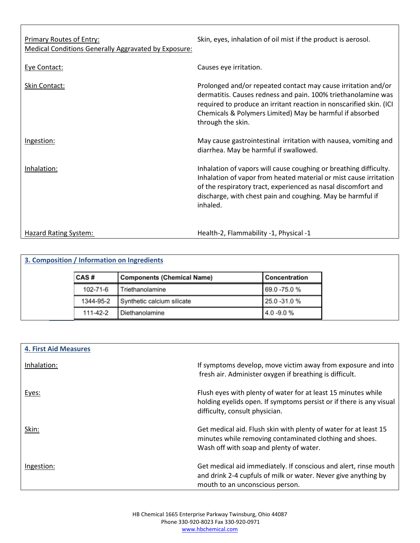| <b>Primary Routes of Entry:</b><br><b>Medical Conditions Generally Aggravated by Exposure:</b> | Skin, eyes, inhalation of oil mist if the product is aerosol.                                                                                                                                                                                                                          |
|------------------------------------------------------------------------------------------------|----------------------------------------------------------------------------------------------------------------------------------------------------------------------------------------------------------------------------------------------------------------------------------------|
| Eye Contact:                                                                                   | Causes eye irritation.                                                                                                                                                                                                                                                                 |
| Skin Contact:                                                                                  | Prolonged and/or repeated contact may cause irritation and/or<br>dermatitis. Causes redness and pain. 100% triethanolamine was<br>required to produce an irritant reaction in nonscarified skin. (ICI<br>Chemicals & Polymers Limited) May be harmful if absorbed<br>through the skin. |
| Ingestion:                                                                                     | May cause gastrointestinal irritation with nausea, vomiting and<br>diarrhea. May be harmful if swallowed.                                                                                                                                                                              |
| Inhalation:                                                                                    | Inhalation of vapors will cause coughing or breathing difficulty.<br>Inhalation of vapor from heated material or mist cause irritation<br>of the respiratory tract, experienced as nasal discomfort and<br>discharge, with chest pain and coughing. May be harmful if<br>inhaled.      |
| <b>Hazard Rating System:</b>                                                                   | Health-2, Flammability -1, Physical -1                                                                                                                                                                                                                                                 |

Г

| 3. Composition / Information on Ingredients |           |                                   |                      |  |  |  |
|---------------------------------------------|-----------|-----------------------------------|----------------------|--|--|--|
|                                             | CAS#      | <b>Components (Chemical Name)</b> | <b>Concentration</b> |  |  |  |
|                                             | 102-71-6  | Triethanolamine                   | 69.0 -75.0 %         |  |  |  |
|                                             | 1344-95-2 | Synthetic calcium silicate        | 25.0 - 31.0 %        |  |  |  |
|                                             | 111-42-2  | Diethanolamine                    | 4.0 - 9.0 %          |  |  |  |

| <b>4. First Aid Measures</b> |                                                                                                                                                                        |
|------------------------------|------------------------------------------------------------------------------------------------------------------------------------------------------------------------|
| Inhalation:                  | If symptoms develop, move victim away from exposure and into<br>fresh air. Administer oxygen if breathing is difficult.                                                |
| Eyes:                        | Flush eyes with plenty of water for at least 15 minutes while<br>holding eyelids open. If symptoms persist or if there is any visual<br>difficulty, consult physician. |
| Skin:                        | Get medical aid. Flush skin with plenty of water for at least 15<br>minutes while removing contaminated clothing and shoes.<br>Wash off with soap and plenty of water. |
| Ingestion:                   | Get medical aid immediately. If conscious and alert, rinse mouth<br>and drink 2-4 cupfuls of milk or water. Never give anything by<br>mouth to an unconscious person.  |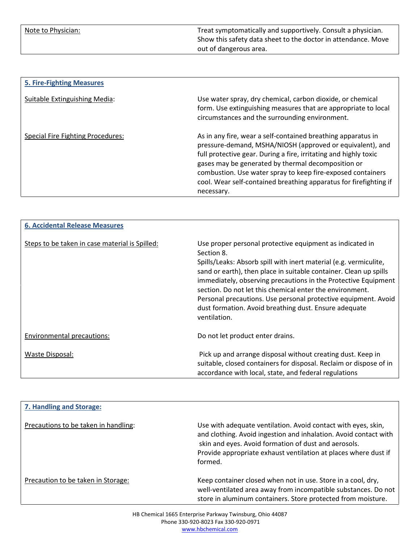Note to Physician: Treat symptomatically and supportively. Consult a physician. Show this safety data sheet to the doctor in attendance. Move out of dangerous area.

| <b>5. Fire-Fighting Measures</b>         |                                                                                                                                                                                                                                                                                                                                                                                                       |
|------------------------------------------|-------------------------------------------------------------------------------------------------------------------------------------------------------------------------------------------------------------------------------------------------------------------------------------------------------------------------------------------------------------------------------------------------------|
| Suitable Extinguishing Media:            | Use water spray, dry chemical, carbon dioxide, or chemical<br>form. Use extinguishing measures that are appropriate to local<br>circumstances and the surrounding environment.                                                                                                                                                                                                                        |
| <b>Special Fire Fighting Procedures:</b> | As in any fire, wear a self-contained breathing apparatus in<br>pressure-demand, MSHA/NIOSH (approved or equivalent), and<br>full protective gear. During a fire, irritating and highly toxic<br>gases may be generated by thermal decomposition or<br>combustion. Use water spray to keep fire-exposed containers<br>cool. Wear self-contained breathing apparatus for firefighting if<br>necessary. |

| <b>6. Accidental Release Measures</b>          |                                                                                                                                                                                                                                                                                                                                                                                                                                                                                           |
|------------------------------------------------|-------------------------------------------------------------------------------------------------------------------------------------------------------------------------------------------------------------------------------------------------------------------------------------------------------------------------------------------------------------------------------------------------------------------------------------------------------------------------------------------|
| Steps to be taken in case material is Spilled: | Use proper personal protective equipment as indicated in<br>Section 8.<br>Spills/Leaks: Absorb spill with inert material (e.g. vermiculite,<br>sand or earth), then place in suitable container. Clean up spills<br>immediately, observing precautions in the Protective Equipment<br>section. Do not let this chemical enter the environment.<br>Personal precautions. Use personal protective equipment. Avoid<br>dust formation. Avoid breathing dust. Ensure adequate<br>ventilation. |
| Environmental precautions:                     | Do not let product enter drains.                                                                                                                                                                                                                                                                                                                                                                                                                                                          |
| Waste Disposal:                                | Pick up and arrange disposal without creating dust. Keep in<br>suitable, closed containers for disposal. Reclaim or dispose of in<br>accordance with local, state, and federal regulations                                                                                                                                                                                                                                                                                                |

| 7. Handling and Storage:             |                                                                                                                                                                                                                                                                         |
|--------------------------------------|-------------------------------------------------------------------------------------------------------------------------------------------------------------------------------------------------------------------------------------------------------------------------|
| Precautions to be taken in handling: | Use with adequate ventilation. Avoid contact with eyes, skin,<br>and clothing. Avoid ingestion and inhalation. Avoid contact with<br>skin and eyes. Avoid formation of dust and aerosols.<br>Provide appropriate exhaust ventilation at places where dust if<br>formed. |
| Precaution to be taken in Storage:   | Keep container closed when not in use. Store in a cool, dry,<br>well-ventilated area away from incompatible substances. Do not<br>store in aluminum containers. Store protected from moisture.                                                                          |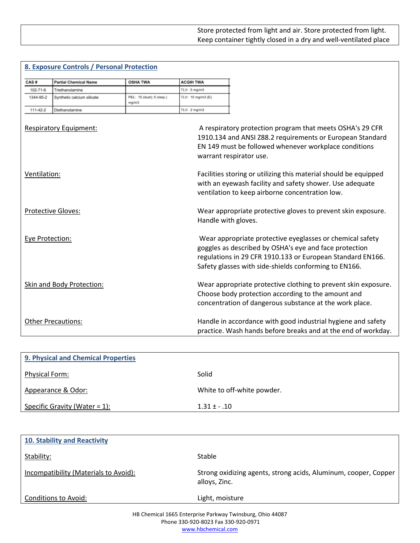|                 | 8. Exposure Controls / Personal Protection |                                    |                        |                                                                                                                                                                                                                                            |
|-----------------|--------------------------------------------|------------------------------------|------------------------|--------------------------------------------------------------------------------------------------------------------------------------------------------------------------------------------------------------------------------------------|
| CAS#            | <b>Partial Chemical Name</b>               | <b>OSHA TWA</b>                    | <b>ACGIH TWA</b>       |                                                                                                                                                                                                                                            |
| 102-71-6        | Triethanolamine                            |                                    | TLV: 5 mg/m3           |                                                                                                                                                                                                                                            |
| 1344-95-2       | Synthetic calcium silicate                 | PEL: 15 (dust); 5 (resp.)<br>mg/m3 | TLV: 10 mg/m3 (E)      |                                                                                                                                                                                                                                            |
| 111-42-2        | Diethanolamine                             |                                    | TLV: $2 \text{ mg/m3}$ |                                                                                                                                                                                                                                            |
|                 | <b>Respiratory Equipment:</b>              |                                    |                        | A respiratory protection program that meets OSHA's 29 CFR<br>1910.134 and ANSI Z88.2 requirements or European Standard<br>EN 149 must be followed whenever workplace conditions<br>warrant respirator use.                                 |
| Ventilation:    |                                            |                                    |                        | Facilities storing or utilizing this material should be equipped<br>with an eyewash facility and safety shower. Use adequate<br>ventilation to keep airborne concentration low.                                                            |
|                 | <b>Protective Gloves:</b>                  |                                    |                        | Wear appropriate protective gloves to prevent skin exposure.<br>Handle with gloves.                                                                                                                                                        |
| Eye Protection: |                                            |                                    |                        | Wear appropriate protective eyeglasses or chemical safety<br>goggles as described by OSHA's eye and face protection<br>regulations in 29 CFR 1910.133 or European Standard EN166.<br>Safety glasses with side-shields conforming to EN166. |
|                 | Skin and Body Protection:                  |                                    |                        | Wear appropriate protective clothing to prevent skin exposure.<br>Choose body protection according to the amount and<br>concentration of dangerous substance at the work place.                                                            |
|                 | <b>Other Precautions:</b>                  |                                    |                        | Handle in accordance with good industrial hygiene and safety<br>practice. Wash hands before breaks and at the end of workday.                                                                                                              |

 $\Gamma$ 

| 9. Physical and Chemical Properties |                            |  |  |  |
|-------------------------------------|----------------------------|--|--|--|
| <b>Physical Form:</b>               | Solid                      |  |  |  |
| Appearance & Odor:                  | White to off-white powder. |  |  |  |
| Specific Gravity (Water = 1):       | $1.31 \pm .01$             |  |  |  |

| 10. Stability and Reactivity          |                                                                                  |
|---------------------------------------|----------------------------------------------------------------------------------|
| Stability:                            | <b>Stable</b>                                                                    |
| Incompatibility (Materials to Avoid): | Strong oxidizing agents, strong acids, Aluminum, cooper, Copper<br>alloys, Zinc. |
| Conditions to Avoid:                  | Light, moisture                                                                  |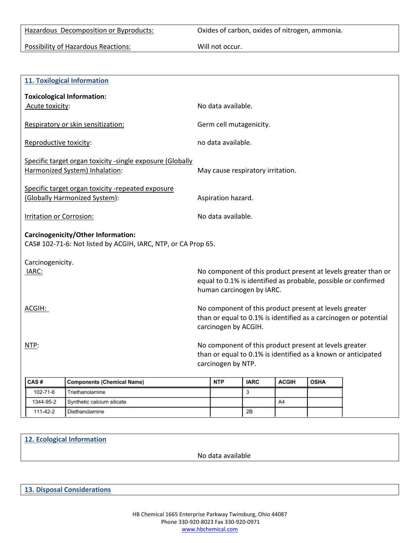Hazardous Decomposition or Byproducts: Oxides of carbon, oxides of nitrogen, ammonia.

Possibility of Hazardous Reactions: Will not occur.

|                                                                                                     | <b>11. Toxilogical Information</b>                                                 |                                                                                                                                                    |                                                                                                                                                               |                         |              |             |  |  |  |
|-----------------------------------------------------------------------------------------------------|------------------------------------------------------------------------------------|----------------------------------------------------------------------------------------------------------------------------------------------------|---------------------------------------------------------------------------------------------------------------------------------------------------------------|-------------------------|--------------|-------------|--|--|--|
|                                                                                                     | <b>Toxicological Information:</b>                                                  |                                                                                                                                                    |                                                                                                                                                               |                         |              |             |  |  |  |
| Acute toxicity:                                                                                     |                                                                                    | No data available.                                                                                                                                 |                                                                                                                                                               |                         |              |             |  |  |  |
|                                                                                                     | Respiratory or skin sensitization:                                                 |                                                                                                                                                    |                                                                                                                                                               | Germ cell mutagenicity. |              |             |  |  |  |
| Reproductive toxicity:                                                                              |                                                                                    |                                                                                                                                                    | no data available.                                                                                                                                            |                         |              |             |  |  |  |
| Specific target organ toxicity -single exposure (Globally<br>Harmonized System) Inhalation:         |                                                                                    | May cause respiratory irritation.                                                                                                                  |                                                                                                                                                               |                         |              |             |  |  |  |
|                                                                                                     | Specific target organ toxicity -repeated exposure<br>(Globally Harmonized System): |                                                                                                                                                    | Aspiration hazard.                                                                                                                                            |                         |              |             |  |  |  |
| <b>Irritation or Corrosion:</b>                                                                     |                                                                                    |                                                                                                                                                    | No data available.                                                                                                                                            |                         |              |             |  |  |  |
| Carcinogenicity/Other Information:<br>CAS# 102-71-6: Not listed by ACGIH, IARC, NTP, or CA Prop 65. |                                                                                    |                                                                                                                                                    |                                                                                                                                                               |                         |              |             |  |  |  |
| Carcinogenicity.                                                                                    |                                                                                    |                                                                                                                                                    |                                                                                                                                                               |                         |              |             |  |  |  |
| IARC:                                                                                               |                                                                                    |                                                                                                                                                    | No component of this product present at levels greater than or<br>equal to 0.1% is identified as probable, possible or confirmed<br>human carcinogen by IARC. |                         |              |             |  |  |  |
| ACGIH:                                                                                              |                                                                                    | No component of this product present at levels greater<br>than or equal to 0.1% is identified as a carcinogen or potential<br>carcinogen by ACGIH. |                                                                                                                                                               |                         |              |             |  |  |  |
| NTP:                                                                                                |                                                                                    | No component of this product present at levels greater<br>than or equal to 0.1% is identified as a known or anticipated<br>carcinogen by NTP.      |                                                                                                                                                               |                         |              |             |  |  |  |
| CAS#                                                                                                | <b>Components (Chemical Name)</b>                                                  |                                                                                                                                                    | <b>NTP</b>                                                                                                                                                    | <b>IARC</b>             | <b>ACGIH</b> | <b>OSHA</b> |  |  |  |
| 102-71-6                                                                                            | Triethanolamine                                                                    |                                                                                                                                                    |                                                                                                                                                               | 3                       |              |             |  |  |  |
| 1344-95-2                                                                                           | Synthetic calcium silicate                                                         |                                                                                                                                                    |                                                                                                                                                               |                         | A4           |             |  |  |  |
| 111-42-2                                                                                            | Diethanolamine                                                                     |                                                                                                                                                    |                                                                                                                                                               | 2В                      |              |             |  |  |  |

No data available

**13. Disposal Considerations**

**12. Ecological Information**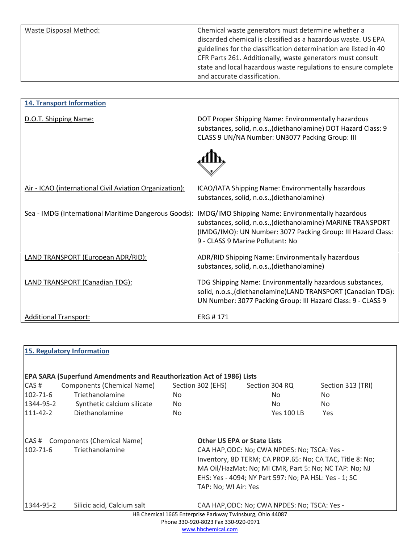Waste Disposal Method: Chemical waste generators must determine whether a discarded chemical is classified as a hazardous waste. US EPA guidelines for the classification determination are listed in 40 CFR Parts 261. Additionally, waste generators must consult state and local hazardous waste regulations to ensure complete and accurate classification.

| <b>14. Transport Information</b>                        |                                                                                                                                                                                                                       |
|---------------------------------------------------------|-----------------------------------------------------------------------------------------------------------------------------------------------------------------------------------------------------------------------|
| D.O.T. Shipping Name:                                   | DOT Proper Shipping Name: Environmentally hazardous<br>substances, solid, n.o.s., (diethanolamine) DOT Hazard Class: 9<br>CLASS 9 UN/NA Number: UN3077 Packing Group: III                                             |
|                                                         |                                                                                                                                                                                                                       |
| Air - ICAO (international Civil Aviation Organization): | ICAO/IATA Shipping Name: Environmentally hazardous<br>substances, solid, n.o.s., (diethanolamine)                                                                                                                     |
| Sea - IMDG (International Maritime Dangerous Goods):    | IMDG/IMO Shipping Name: Environmentally hazardous<br>substances, solid, n.o.s., (diethanolamine) MARINE TRANSPORT<br>(IMDG/IMO): UN Number: 3077 Packing Group: III Hazard Class:<br>9 - CLASS 9 Marine Pollutant: No |
| LAND TRANSPORT (European ADR/RID):                      | ADR/RID Shipping Name: Environmentally hazardous<br>substances, solid, n.o.s., (diethanolamine)                                                                                                                       |
| LAND TRANSPORT (Canadian TDG):                          | TDG Shipping Name: Environmentally hazardous substances,<br>solid, n.o.s., (diethanolamine) LAND TRANSPORT (Canadian TDG):<br>UN Number: 3077 Packing Group: III Hazard Class: 9 - CLASS 9                            |
| <b>Additional Transport:</b>                            | ERG #171                                                                                                                                                                                                              |

| EPA SARA (Superfund Amendments and Reauthorization Act of 1986) Lists<br>CAS#<br>Components (Chemical Name)<br>Section 302 (EHS)<br>Section 313 (TRI)<br>Section 304 RQ<br>Triethanolamine<br>$102 - 71 - 6$<br>No.<br>No.<br>No.<br>1344-95-2<br>Synthetic calcium silicate<br><b>No</b><br>No.<br>No.<br>Diethanolamine<br>$111 - 42 - 2$<br><b>Yes 100 LB</b><br><b>No</b><br>Yes<br>Components (Chemical Name)<br><b>Other US EPA or State Lists</b><br>CAS#<br>Triethanolamine<br>$102 - 71 - 6$<br>CAA HAP, ODC: No; CWA NPDES: No; TSCA: Yes -<br>Inventory, 8D TERM; CA PROP.65: No; CA TAC, Title 8: No;<br>MA Oil/HazMat: No; MI CMR, Part 5: No; NC TAP: No; NJ<br>EHS: Yes - 4094; NY Part 597: No; PA HSL: Yes - 1; SC |  |
|-------------------------------------------------------------------------------------------------------------------------------------------------------------------------------------------------------------------------------------------------------------------------------------------------------------------------------------------------------------------------------------------------------------------------------------------------------------------------------------------------------------------------------------------------------------------------------------------------------------------------------------------------------------------------------------------------------------------------------------|--|
|                                                                                                                                                                                                                                                                                                                                                                                                                                                                                                                                                                                                                                                                                                                                     |  |
|                                                                                                                                                                                                                                                                                                                                                                                                                                                                                                                                                                                                                                                                                                                                     |  |
|                                                                                                                                                                                                                                                                                                                                                                                                                                                                                                                                                                                                                                                                                                                                     |  |
|                                                                                                                                                                                                                                                                                                                                                                                                                                                                                                                                                                                                                                                                                                                                     |  |
|                                                                                                                                                                                                                                                                                                                                                                                                                                                                                                                                                                                                                                                                                                                                     |  |
| TAP: No; WI Air: Yes                                                                                                                                                                                                                                                                                                                                                                                                                                                                                                                                                                                                                                                                                                                |  |
| Silicic acid, Calcium salt<br>1344-95-2<br>CAA HAP, ODC: No; CWA NPDES: No; TSCA: Yes -                                                                                                                                                                                                                                                                                                                                                                                                                                                                                                                                                                                                                                             |  |
| HB Chemical 1665 Enterprise Parkway Twinsburg, Ohio 44087<br>Phone 330-920-8023 Fax 330-920-0971                                                                                                                                                                                                                                                                                                                                                                                                                                                                                                                                                                                                                                    |  |

www.hbchemical.com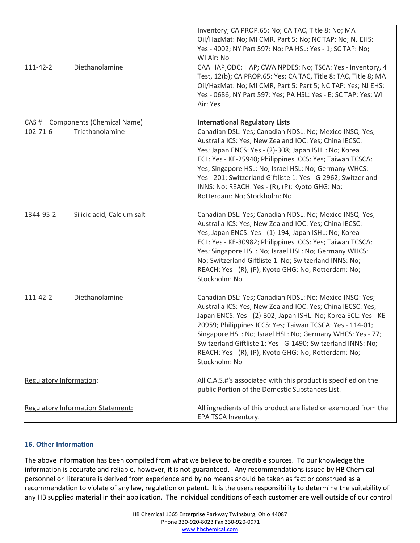| 111-42-2                          | Diethanolamine                                      | Inventory; CA PROP.65: No; CA TAC, Title 8: No; MA<br>Oil/HazMat: No; MI CMR, Part 5: No; NC TAP: No; NJ EHS:<br>Yes - 4002; NY Part 597: No; PA HSL: Yes - 1; SC TAP: No;<br>WI Air: No<br>CAA HAP, ODC: HAP; CWA NPDES: No; TSCA: Yes - Inventory, 4<br>Test, 12(b); CA PROP.65: Yes; CA TAC, Title 8: TAC, Title 8; MA<br>Oil/HazMat: No; MI CMR, Part 5: Part 5; NC TAP: Yes; NJ EHS:<br>Yes - 0686; NY Part 597: Yes; PA HSL: Yes - E; SC TAP: Yes; WI<br>Air: Yes |
|-----------------------------------|-----------------------------------------------------|-------------------------------------------------------------------------------------------------------------------------------------------------------------------------------------------------------------------------------------------------------------------------------------------------------------------------------------------------------------------------------------------------------------------------------------------------------------------------|
| $102 - 71 - 6$                    | CAS # Components (Chemical Name)<br>Triethanolamine | <b>International Regulatory Lists</b><br>Canadian DSL: Yes; Canadian NDSL: No; Mexico INSQ: Yes;<br>Australia ICS: Yes; New Zealand IOC: Yes; China IECSC:<br>Yes; Japan ENCS: Yes - (2)-308; Japan ISHL: No; Korea<br>ECL: Yes - KE-25940; Philippines ICCS: Yes; Taiwan TCSCA:<br>Yes; Singapore HSL: No; Israel HSL: No; Germany WHCS:<br>Yes - 201; Switzerland Giftliste 1: Yes - G-2962; Switzerland<br>INNS: No; REACH: Yes - (R), (P); Kyoto GHG: No;           |
| 1344-95-2                         | Silicic acid, Calcium salt                          | Rotterdam: No; Stockholm: No<br>Canadian DSL: Yes; Canadian NDSL: No; Mexico INSQ: Yes;<br>Australia ICS: Yes; New Zealand IOC: Yes; China IECSC:<br>Yes; Japan ENCS: Yes - (1)-194; Japan ISHL: No; Korea<br>ECL: Yes - KE-30982; Philippines ICCS: Yes; Taiwan TCSCA:<br>Yes; Singapore HSL: No; Israel HSL: No; Germany WHCS:<br>No; Switzerland Giftliste 1: No; Switzerland INNS: No;<br>REACH: Yes - (R), (P); Kyoto GHG: No; Rotterdam: No;<br>Stockholm: No     |
| $111 - 42 - 2$                    | Diethanolamine                                      | Canadian DSL: Yes; Canadian NDSL: No; Mexico INSQ: Yes;<br>Australia ICS: Yes; New Zealand IOC: Yes; China IECSC: Yes;<br>Japan ENCS: Yes - (2)-302; Japan ISHL: No; Korea ECL: Yes - KE-<br>20959; Philippines ICCS: Yes; Taiwan TCSCA: Yes - 114-01;<br>Singapore HSL: No; Israel HSL: No; Germany WHCS: Yes - 77;<br>Switzerland Giftliste 1: Yes - G-1490; Switzerland INNS: No;<br>REACH: Yes - (R), (P); Kyoto GHG: No; Rotterdam: No;<br>Stockholm: No           |
| Regulatory Information:           |                                                     | All C.A.S.#'s associated with this product is specified on the<br>public Portion of the Domestic Substances List.                                                                                                                                                                                                                                                                                                                                                       |
| Regulatory Information Statement: |                                                     | All ingredients of this product are listed or exempted from the<br>EPA TSCA Inventory.                                                                                                                                                                                                                                                                                                                                                                                  |

## **16. Other Information**

The above information has been compiled from what we believe to be credible sources. To our knowledge the information is accurate and reliable, however, it is not guaranteed. Any recommendations issued by HB Chemical personnel or literature is derived from experience and by no means should be taken as fact or construed as a recommendation to violate of any law, regulation or patent. It is the users responsibility to determine the suitability of any HB supplied material in their application. The individual conditions of each customer are well outside of our control